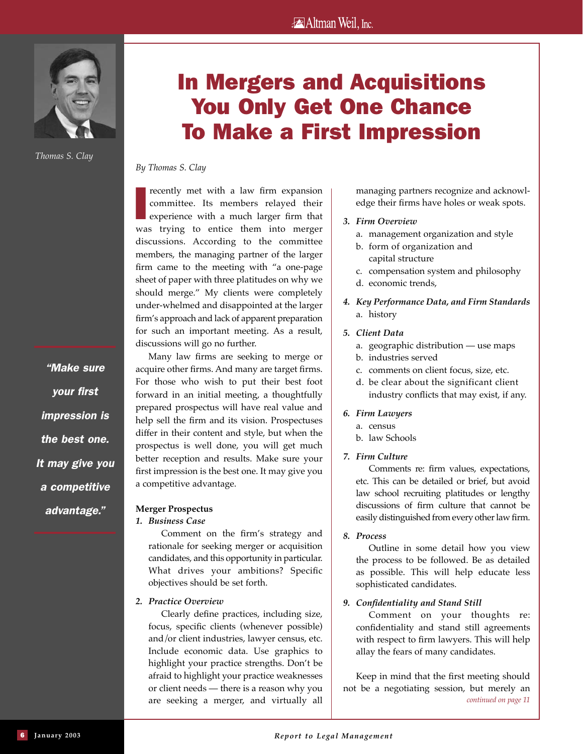# **Altman Weil**, Inc.



*Thomas S. Clay*

*"Make sure your first impression is the best one. It may give you a competitive advantage."*

# In Mergers and Acquisitions You Only Get One Chance To Make a First Impression

*By Thomas S. Clay*

I recently met with a law firm expansion committee. Its members relayed their experience with a much larger firm that was trying to entice them into merger discussions. According to the committee members, the managing partner of the larger firm came to the meeting with "a one-page sheet of paper with three platitudes on why we should merge." My clients were completely under-whelmed and disappointed at the larger firm's approach and lack of apparent preparation for such an important meeting. As a result, discussions will go no further.

Many law firms are seeking to merge or acquire other firms. And many are target firms. For those who wish to put their best foot forward in an initial meeting, a thoughtfully prepared prospectus will have real value and help sell the firm and its vision. Prospectuses differ in their content and style, but when the prospectus is well done, you will get much better reception and results. Make sure your first impression is the best one. It may give you a competitive advantage.

# **Merger Prospectus**

*1. Business Case*

Comment on the firm's strategy and rationale for seeking merger or acquisition candidates, and this opportunity in particular. What drives your ambitions? Specific objectives should be set forth.

*2. Practice Overview* 

Clearly define practices, including size, focus, specific clients (whenever possible) and/or client industries, lawyer census, etc. Include economic data. Use graphics to highlight your practice strengths. Don't be afraid to highlight your practice weaknesses or client needs — there is a reason why you are seeking a merger, and virtually all managing partners recognize and acknowledge their firms have holes or weak spots.

- *3. Firm Overview*
	- a. management organization and style
	- b. form of organization and
	- capital structure c. compensation system and philosophy
	- d. economic trends,
- *4. Key Performance Data, and Firm Standards*  a. history

#### *5. Client Data*

- a. geographic distribution use maps
- b. industries served
- c. comments on client focus, size, etc.
- d. be clear about the significant client industry conflicts that may exist, if any.

#### *6. Firm Lawyers*

- a. census
- b. law Schools

# *7. Firm Culture*

Comments re: firm values, expectations, etc. This can be detailed or brief, but avoid law school recruiting platitudes or lengthy discussions of firm culture that cannot be easily distinguished from every other law firm.

*8. Process*

Outline in some detail how you view the process to be followed. Be as detailed as possible. This will help educate less sophisticated candidates.

# *9. Confidentiality and Stand Still*

Comment on your thoughts re: confidentiality and stand still agreements with respect to firm lawyers. This will help allay the fears of many candidates.

Keep in mind that the first meeting should not be a negotiating session, but merely an *continued on page 11*